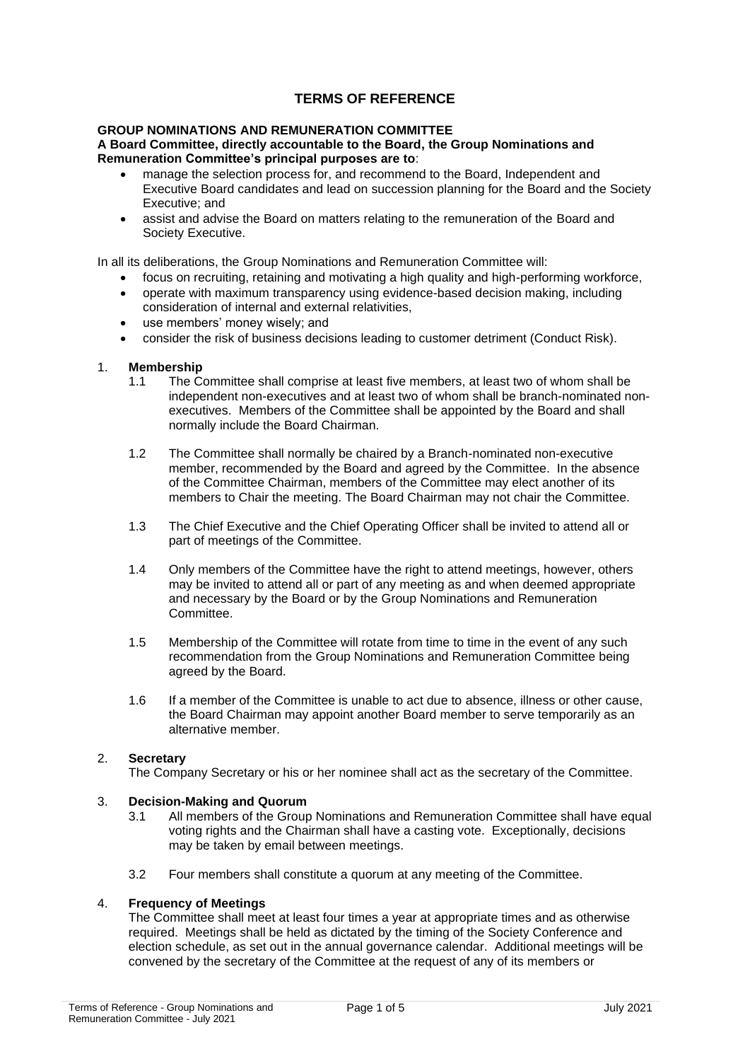# **TERMS OF REFERENCE**

#### **GROUP NOMINATIONS AND REMUNERATION COMMITTEE A Board Committee, directly accountable to the Board, the Group Nominations and Remuneration Committee's principal purposes are to**:

- manage the selection process for, and recommend to the Board, Independent and Executive Board candidates and lead on succession planning for the Board and the Society Executive; and
- assist and advise the Board on matters relating to the remuneration of the Board and Society Executive.

In all its deliberations, the Group Nominations and Remuneration Committee will:

- focus on recruiting, retaining and motivating a high quality and high-performing workforce,
- operate with maximum transparency using evidence-based decision making, including consideration of internal and external relativities,
- use members' money wisely; and
- consider the risk of business decisions leading to customer detriment (Conduct Risk).

#### 1. **Membership**

- 1.1 The Committee shall comprise at least five members, at least two of whom shall be independent non-executives and at least two of whom shall be branch-nominated nonexecutives. Members of the Committee shall be appointed by the Board and shall normally include the Board Chairman.
- 1.2 The Committee shall normally be chaired by a Branch-nominated non-executive member, recommended by the Board and agreed by the Committee. In the absence of the Committee Chairman, members of the Committee may elect another of its members to Chair the meeting. The Board Chairman may not chair the Committee.
- 1.3 The Chief Executive and the Chief Operating Officer shall be invited to attend all or part of meetings of the Committee.
- 1.4 Only members of the Committee have the right to attend meetings, however, others may be invited to attend all or part of any meeting as and when deemed appropriate and necessary by the Board or by the Group Nominations and Remuneration **Committee.**
- 1.5 Membership of the Committee will rotate from time to time in the event of any such recommendation from the Group Nominations and Remuneration Committee being agreed by the Board.
- 1.6 If a member of the Committee is unable to act due to absence, illness or other cause, the Board Chairman may appoint another Board member to serve temporarily as an alternative member.

# 2. **Secretary**

The Company Secretary or his or her nominee shall act as the secretary of the Committee.

#### 3. **Decision-Making and Quorum**

- 3.1 All members of the Group Nominations and Remuneration Committee shall have equal voting rights and the Chairman shall have a casting vote. Exceptionally, decisions may be taken by email between meetings.
- 3.2 Four members shall constitute a quorum at any meeting of the Committee.

## 4. **Frequency of Meetings**

The Committee shall meet at least four times a year at appropriate times and as otherwise required. Meetings shall be held as dictated by the timing of the Society Conference and election schedule, as set out in the annual governance calendar. Additional meetings will be convened by the secretary of the Committee at the request of any of its members or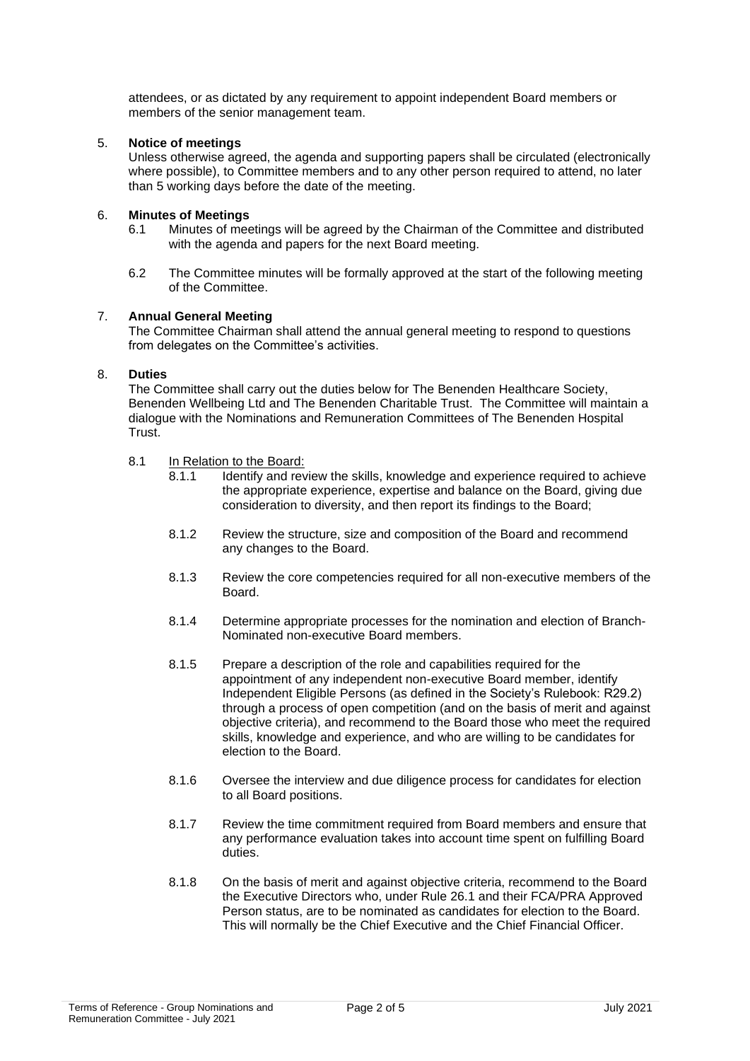attendees, or as dictated by any requirement to appoint independent Board members or members of the senior management team.

## 5. **Notice of meetings**

Unless otherwise agreed, the agenda and supporting papers shall be circulated (electronically where possible), to Committee members and to any other person required to attend, no later than 5 working days before the date of the meeting.

## 6. **Minutes of Meetings**

- 6.1 Minutes of meetings will be agreed by the Chairman of the Committee and distributed with the agenda and papers for the next Board meeting.
- 6.2 The Committee minutes will be formally approved at the start of the following meeting of the Committee.

#### 7. **Annual General Meeting**

The Committee Chairman shall attend the annual general meeting to respond to questions from delegates on the Committee's activities.

#### 8. **Duties**

The Committee shall carry out the duties below for The Benenden Healthcare Society, Benenden Wellbeing Ltd and The Benenden Charitable Trust. The Committee will maintain a dialogue with the Nominations and Remuneration Committees of The Benenden Hospital Trust.

- 8.1 In Relation to the Board:
	- 8.1.1 Identify and review the skills, knowledge and experience required to achieve the appropriate experience, expertise and balance on the Board, giving due consideration to diversity, and then report its findings to the Board;
	- 8.1.2 Review the structure, size and composition of the Board and recommend any changes to the Board.
	- 8.1.3 Review the core competencies required for all non-executive members of the Board.
	- 8.1.4 Determine appropriate processes for the nomination and election of Branch-Nominated non-executive Board members.
	- 8.1.5 Prepare a description of the role and capabilities required for the appointment of any independent non-executive Board member, identify Independent Eligible Persons (as defined in the Society's Rulebook: R29.2) through a process of open competition (and on the basis of merit and against objective criteria), and recommend to the Board those who meet the required skills, knowledge and experience, and who are willing to be candidates for election to the Board.
	- 8.1.6 Oversee the interview and due diligence process for candidates for election to all Board positions.
	- 8.1.7 Review the time commitment required from Board members and ensure that any performance evaluation takes into account time spent on fulfilling Board duties.
	- 8.1.8 On the basis of merit and against objective criteria, recommend to the Board the Executive Directors who, under Rule 26.1 and their FCA/PRA Approved Person status, are to be nominated as candidates for election to the Board. This will normally be the Chief Executive and the Chief Financial Officer.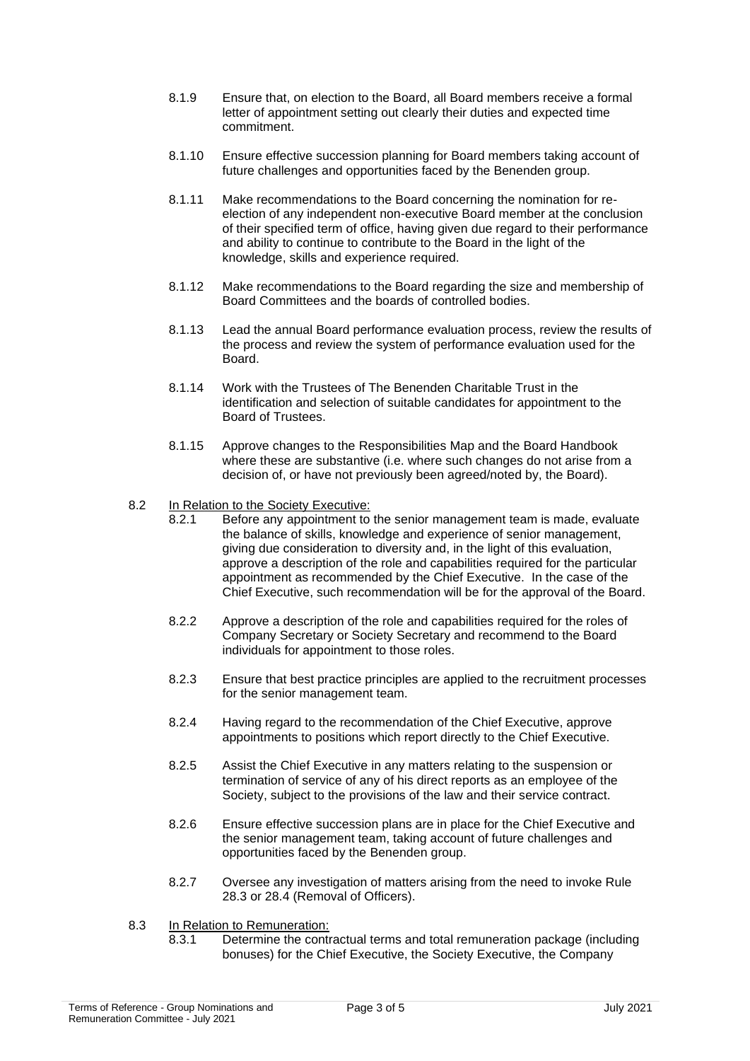- 8.1.9 Ensure that, on election to the Board, all Board members receive a formal letter of appointment setting out clearly their duties and expected time commitment.
- 8.1.10 Ensure effective succession planning for Board members taking account of future challenges and opportunities faced by the Benenden group.
- 8.1.11 Make recommendations to the Board concerning the nomination for reelection of any independent non-executive Board member at the conclusion of their specified term of office, having given due regard to their performance and ability to continue to contribute to the Board in the light of the knowledge, skills and experience required.
- 8.1.12 Make recommendations to the Board regarding the size and membership of Board Committees and the boards of controlled bodies.
- 8.1.13 Lead the annual Board performance evaluation process, review the results of the process and review the system of performance evaluation used for the Board.
- 8.1.14 Work with the Trustees of The Benenden Charitable Trust in the identification and selection of suitable candidates for appointment to the Board of Trustees.
- 8.1.15 Approve changes to the Responsibilities Map and the Board Handbook where these are substantive (i.e. where such changes do not arise from a decision of, or have not previously been agreed/noted by, the Board).

#### 8.2 In Relation to the Society Executive:

- 8.2.1 Before any appointment to the senior management team is made, evaluate the balance of skills, knowledge and experience of senior management, giving due consideration to diversity and, in the light of this evaluation, approve a description of the role and capabilities required for the particular appointment as recommended by the Chief Executive. In the case of the Chief Executive, such recommendation will be for the approval of the Board.
- 8.2.2 Approve a description of the role and capabilities required for the roles of Company Secretary or Society Secretary and recommend to the Board individuals for appointment to those roles.
- 8.2.3 Ensure that best practice principles are applied to the recruitment processes for the senior management team.
- 8.2.4 Having regard to the recommendation of the Chief Executive, approve appointments to positions which report directly to the Chief Executive.
- 8.2.5 Assist the Chief Executive in any matters relating to the suspension or termination of service of any of his direct reports as an employee of the Society, subject to the provisions of the law and their service contract.
- 8.2.6 Ensure effective succession plans are in place for the Chief Executive and the senior management team, taking account of future challenges and opportunities faced by the Benenden group.
- 8.2.7 Oversee any investigation of matters arising from the need to invoke Rule 28.3 or 28.4 (Removal of Officers).
- 8.3 In Relation to Remuneration:
	- 8.3.1 Determine the contractual terms and total remuneration package (including bonuses) for the Chief Executive, the Society Executive, the Company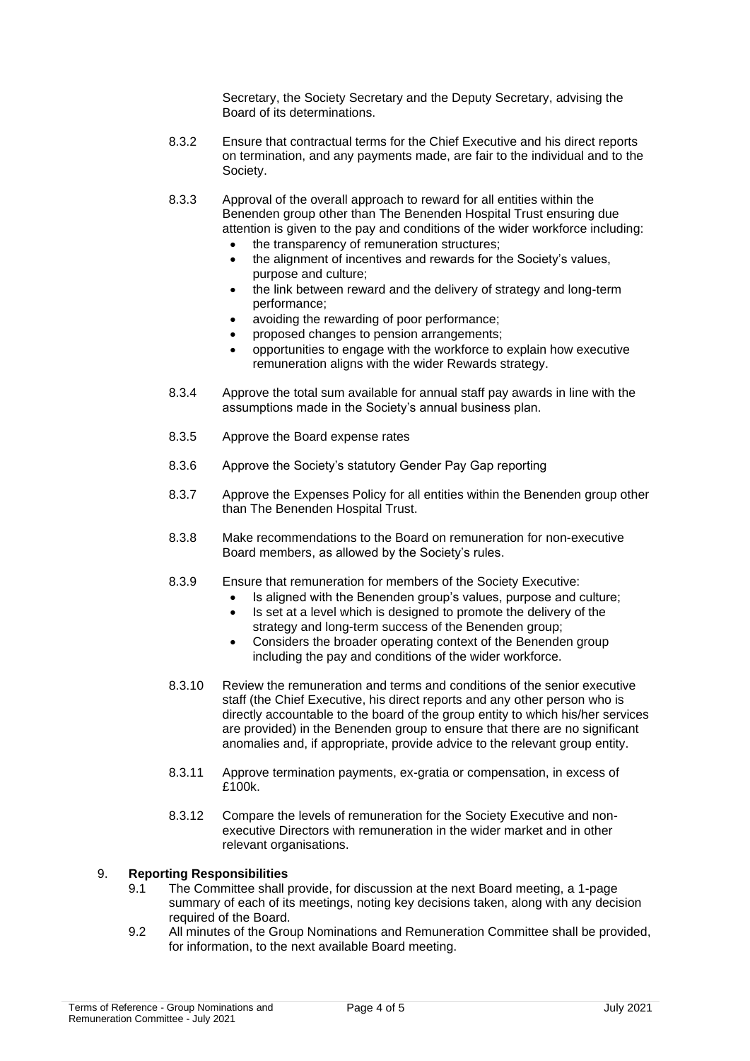Secretary, the Society Secretary and the Deputy Secretary, advising the Board of its determinations.

- 8.3.2 Ensure that contractual terms for the Chief Executive and his direct reports on termination, and any payments made, are fair to the individual and to the Society.
- 8.3.3 Approval of the overall approach to reward for all entities within the Benenden group other than The Benenden Hospital Trust ensuring due attention is given to the pay and conditions of the wider workforce including:
	- the transparency of remuneration structures:
	- the alignment of incentives and rewards for the Society's values. purpose and culture;
	- the link between reward and the delivery of strategy and long-term performance;
	- avoiding the rewarding of poor performance;
	- proposed changes to pension arrangements;
	- opportunities to engage with the workforce to explain how executive remuneration aligns with the wider Rewards strategy.
- 8.3.4 Approve the total sum available for annual staff pay awards in line with the assumptions made in the Society's annual business plan.
- 8.3.5 Approve the Board expense rates
- 8.3.6 Approve the Society's statutory Gender Pay Gap reporting
- 8.3.7 Approve the Expenses Policy for all entities within the Benenden group other than The Benenden Hospital Trust.
- 8.3.8 Make recommendations to the Board on remuneration for non-executive Board members, as allowed by the Society's rules.
- 8.3.9 Ensure that remuneration for members of the Society Executive:
	- Is aligned with the Benenden group's values, purpose and culture;
	- Is set at a level which is designed to promote the delivery of the strategy and long-term success of the Benenden group;
	- Considers the broader operating context of the Benenden group including the pay and conditions of the wider workforce.
- 8.3.10 Review the remuneration and terms and conditions of the senior executive staff (the Chief Executive, his direct reports and any other person who is directly accountable to the board of the group entity to which his/her services are provided) in the Benenden group to ensure that there are no significant anomalies and, if appropriate, provide advice to the relevant group entity.
- 8.3.11 Approve termination payments, ex-gratia or compensation, in excess of £100k.
- 8.3.12 Compare the levels of remuneration for the Society Executive and nonexecutive Directors with remuneration in the wider market and in other relevant organisations.

## 9. **Reporting Responsibilities**

- 9.1 The Committee shall provide, for discussion at the next Board meeting, a 1-page summary of each of its meetings, noting key decisions taken, along with any decision required of the Board.
- 9.2 All minutes of the Group Nominations and Remuneration Committee shall be provided, for information, to the next available Board meeting.